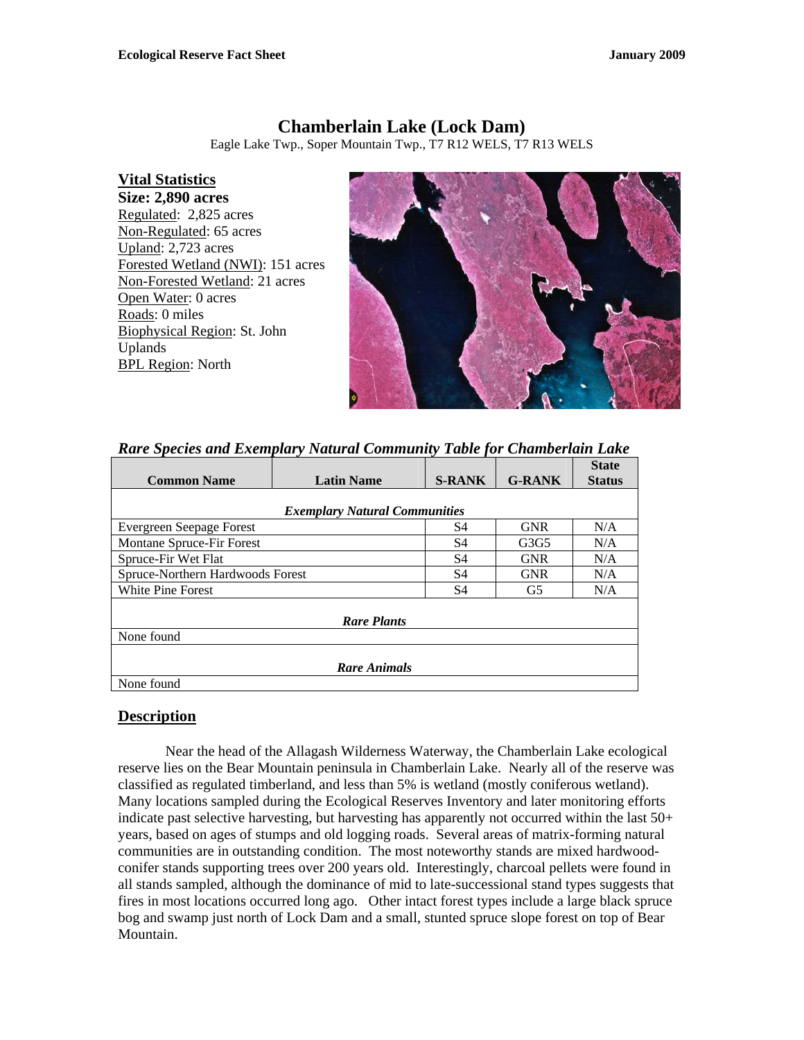# **Chamberlain Lake (Lock Dam)**

Eagle Lake Twp., Soper Mountain Twp., T7 R12 WELS, T7 R13 WELS

## **Vital Statistics**

**Size: 2,890 acres**  Regulated: 2,825 acres Non-Regulated: 65 acres Upland: 2,723 acres Forested Wetland (NWI): 151 acres Non-Forested Wetland: 21 acres Open Water: 0 acres Roads: 0 miles Biophysical Region: St. John Uplands BPL Region: North



#### *Rare Species and Exemplary Natural Community Table for Chamberlain Lake*

|                                      |                   |               |               | <b>State</b>  |
|--------------------------------------|-------------------|---------------|---------------|---------------|
| <b>Common Name</b>                   | <b>Latin Name</b> | <b>S-RANK</b> | <b>G-RANK</b> | <b>Status</b> |
|                                      |                   |               |               |               |
| <b>Exemplary Natural Communities</b> |                   |               |               |               |
| <b>Evergreen Seepage Forest</b>      | S4                | <b>GNR</b>    | N/A           |               |
| Montane Spruce-Fir Forest            |                   | S4            | G3G5          | N/A           |
| Spruce-Fir Wet Flat                  |                   | S4            | <b>GNR</b>    | N/A           |
| Spruce-Northern Hardwoods Forest     |                   | S4            | <b>GNR</b>    | N/A           |
| White Pine Forest                    |                   | S4            | G5            | N/A           |
|                                      |                   |               |               |               |
| <b>Rare Plants</b>                   |                   |               |               |               |
| None found                           |                   |               |               |               |
|                                      |                   |               |               |               |
| <b>Rare Animals</b>                  |                   |               |               |               |
| None found                           |                   |               |               |               |

#### **Description**

 Near the head of the Allagash Wilderness Waterway, the Chamberlain Lake ecological reserve lies on the Bear Mountain peninsula in Chamberlain Lake. Nearly all of the reserve was classified as regulated timberland, and less than 5% is wetland (mostly coniferous wetland). Many locations sampled during the Ecological Reserves Inventory and later monitoring efforts indicate past selective harvesting, but harvesting has apparently not occurred within the last 50+ years, based on ages of stumps and old logging roads. Several areas of matrix-forming natural communities are in outstanding condition. The most noteworthy stands are mixed hardwoodconifer stands supporting trees over 200 years old. Interestingly, charcoal pellets were found in all stands sampled, although the dominance of mid to late-successional stand types suggests that fires in most locations occurred long ago. Other intact forest types include a large black spruce bog and swamp just north of Lock Dam and a small, stunted spruce slope forest on top of Bear Mountain.